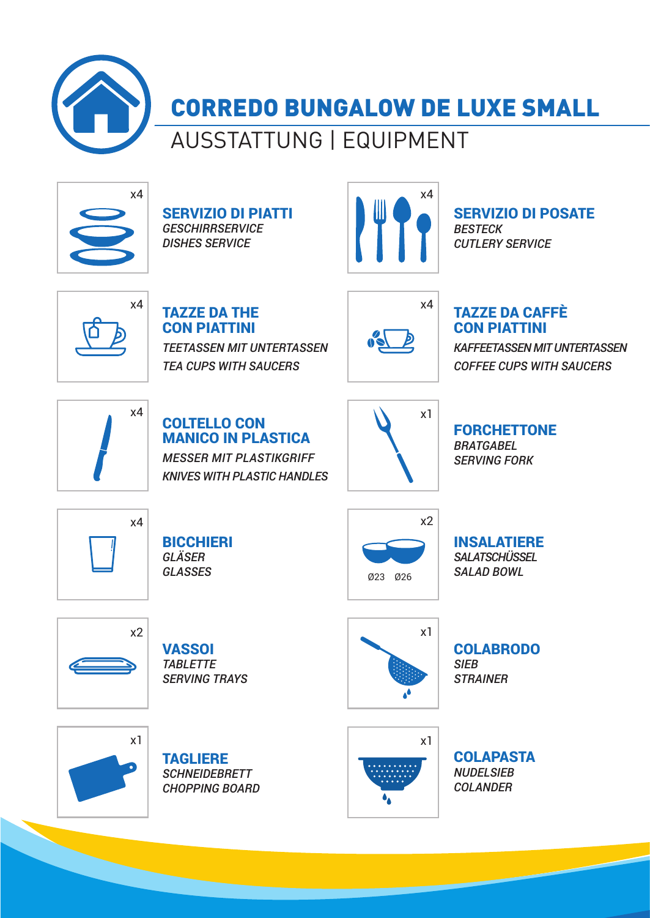

CORREDO BUNGALOW DE LUXE SMALL

AUSSTATTUNG | EQUIPMENT



SERVIZIO DI PIATTI *GESCHIRRSERVICE DISHES SERVICE*



SERVIZIO DI POSATE *BESTECK CUTLERY SERVICE*



TAZZE DA THE CON PIATTINI *TEETASSEN MIT UNTERTASSEN TEA CUPS WITH SAUCERS*



#### TAZZE DA CAFFÈ CON PIATTINI

*KAFFEETASSEN MIT UNTERTASSEN COFFEE CUPS WITH SAUCERS*



COLTELLO CON MANICO IN PLASTICA *MESSER MIT PLASTIKGRIFF*

*KNIVES WITH PLASTIC HANDLES*



FORCHETTONE *BRATGABEL SERVING FORK*



**BICCHIERI** *GLÄSER GLASSES*



INSALATIERE *SALATSCHÜSSEL SALAD BOWL*



**VASSOI** *TABLETTE SERVING TRAYS*



COLABRODO *SIEB STRAINER*







**COLAPASTA** *NUDELSIEB COLANDER*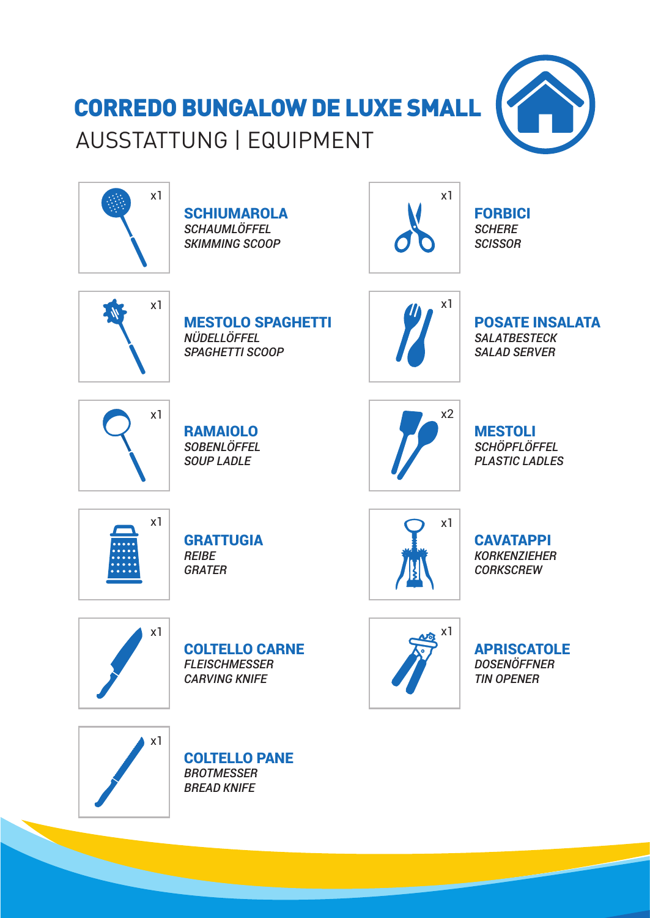## CORREDO BUNGALOW DE LUXE SMALL AUSSTATTUNG | EQUIPMENT





**SCHIUMAROLA** *SCHAUMLÖFFEL SKIMMING SCOOP*



FORBICI *SCHERE SCISSOR*



MESTOLO SPAGHETTI *NÜDELLÖFFEL SPAGHETTI SCOOP*



POSATE INSALATA *SALATBESTECK SALAD SERVER*



RAMAIOLO *SOBENLÖFFEL SOUP LADLE*



MESTOLI *SCHÖPFLÖFFEL PLASTIC LADLES*



**GRATTUGIA** *REIBE GRATER*



**CAVATAPPI** *KORKENZIEHER CORKSCREW*



COLTELLO CARNE *FLEISCHMESSER CARVING KNIFE*



**APRISCATOLE** *DOSENÖFFNER TIN OPENER*



COLTELLO PANE *BROTMESSER BREAD KNIFE*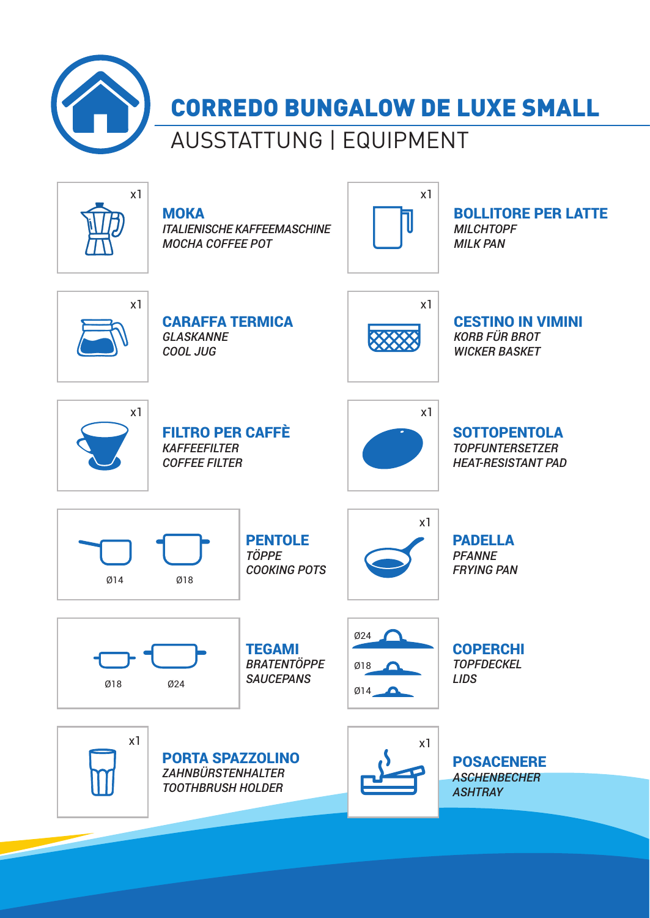

## CORREDO BUNGALOW DE LUXE SMALL

### AUSSTATTUNG | EQUIPMENT



**MOKA** *ITALIENISCHE KAFFEEMASCHINE MOCHA COFFEE POT*



BOLLITORE PER LATTE *MILCHTOPF MILK PAN*



CARAFFA TERMICA *GLASKANNE COOL JUG*



CESTINO IN VIMINI *KORB FÜR BROT WICKER BASKET*



FILTRO PER CAFFÈ *KAFFEEFILTER COFFEE FILTER*



**SOTTOPENTOLA** *TOPFUNTERSETZER HEAT-RESISTANT PAD*



PENTOLE *TÖPPE COOKING POTS*



PADELLA *PFANNE FRYING PAN*



**TEGAMI** *BRATENTÖPPE SAUCEPANS*



COPERCHI *TOPFDECKEL LIDS*



 $x1$  x1 PORTA SPAZZOLINO *ZAHNBÜRSTENHALTER TOOTHBRUSH HOLDER*



POSACENERE *ASCHENBECHER ASHTRAY*